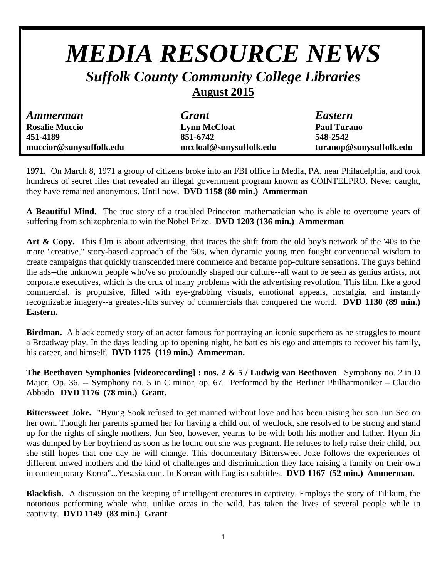## *MEDIA RESOURCE NEWS Suffolk County Community College Libraries*  **August 2015**  *Ammerman Grant Eastern*  **Rosalie Muccio Lynn McCloat Paul Turano 451-4189 851-6742 548-2542 muccior@sunysuffolk.edu mccloal@sunysuffolk.edu turanop@sunysuffolk.edu**

**1971.** On March 8, 1971 a group of citizens broke into an FBI office in Media, PA, near Philadelphia, and took hundreds of secret files that revealed an illegal government program known as COINTELPRO. Never caught, they have remained anonymous. Until now. **DVD 1158 (80 min.) Ammerman** 

**A Beautiful Mind.** The true story of a troubled Princeton mathematician who is able to overcome years of suffering from schizophrenia to win the Nobel Prize. **DVD 1203 (136 min.) Ammerman** 

**Art & Copy.** This film is about advertising, that traces the shift from the old boy's network of the '40s to the more "creative," story-based approach of the '60s, when dynamic young men fought conventional wisdom to create campaigns that quickly transcended mere commerce and became pop-culture sensations. The guys behind the ads--the unknown people who've so profoundly shaped our culture--all want to be seen as genius artists, not corporate executives, which is the crux of many problems with the advertising revolution. This film, like a good commercial, is propulsive, filled with eye-grabbing visuals, emotional appeals, nostalgia, and instantly recognizable imagery--a greatest-hits survey of commercials that conquered the world. **DVD 1130 (89 min.) Eastern.** 

**Birdman.** A black comedy story of an actor famous for portraying an iconic superhero as he struggles to mount a Broadway play. In the days leading up to opening night, he battles his ego and attempts to recover his family, his career, and himself. **DVD 1175 (119 min.) Ammerman.** 

**The Beethoven Symphonies [videorecording] : nos. 2 & 5 / Ludwig van Beethoven**. Symphony no. 2 in D Major, Op. 36. -- Symphony no. 5 in C minor, op. 67. Performed by the Berliner Philharmoniker – Claudio Abbado. **DVD 1176 (78 min.) Grant.** 

**Bittersweet Joke.** "Hyung Sook refused to get married without love and has been raising her son Jun Seo on her own. Though her parents spurned her for having a child out of wedlock, she resolved to be strong and stand up for the rights of single mothers. Jun Seo, however, yearns to be with both his mother and father. Hyun Jin was dumped by her boyfriend as soon as he found out she was pregnant. He refuses to help raise their child, but she still hopes that one day he will change. This documentary Bittersweet Joke follows the experiences of different unwed mothers and the kind of challenges and discrimination they face raising a family on their own in contemporary Korea"...Yesasia.com. In Korean with English subtitles. **DVD 1167 (52 min.) Ammerman.** 

**Blackfish.** A discussion on the keeping of intelligent creatures in captivity. Employs the story of Tilikum, the notorious performing whale who, unlike orcas in the wild, has taken the lives of several people while in captivity. **DVD 1149 (83 min.) Grant**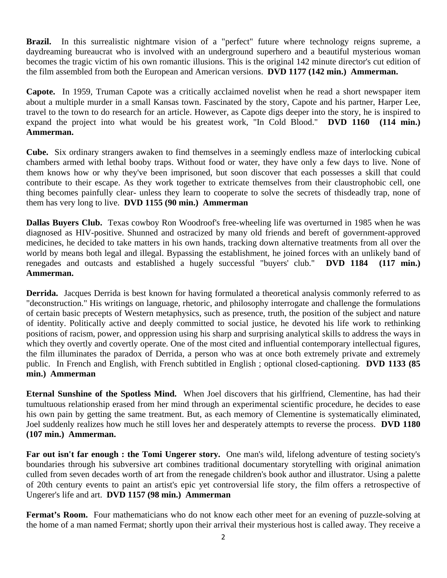**Brazil.** In this surrealistic nightmare vision of a "perfect" future where technology reigns supreme, a daydreaming bureaucrat who is involved with an underground superhero and a beautiful mysterious woman becomes the tragic victim of his own romantic illusions. This is the original 142 minute director's cut edition of the film assembled from both the European and American versions. **DVD 1177 (142 min.) Ammerman.** 

**Capote.** In 1959, Truman Capote was a critically acclaimed novelist when he read a short newspaper item about a multiple murder in a small Kansas town. Fascinated by the story, Capote and his partner, Harper Lee, travel to the town to do research for an article. However, as Capote digs deeper into the story, he is inspired to expand the project into what would be his greatest work, "In Cold Blood." **DVD 1160 (114 min.) Ammerman.** 

**Cube.** Six ordinary strangers awaken to find themselves in a seemingly endless maze of interlocking cubical chambers armed with lethal booby traps. Without food or water, they have only a few days to live. None of them knows how or why they've been imprisoned, but soon discover that each possesses a skill that could contribute to their escape. As they work together to extricate themselves from their claustrophobic cell, one thing becomes painfully clear- unless they learn to cooperate to solve the secrets of thisdeadly trap, none of them has very long to live. **DVD 1155 (90 min.) Ammerman** 

**Dallas Buyers Club.** Texas cowboy Ron Woodroof's free-wheeling life was overturned in 1985 when he was diagnosed as HIV-positive. Shunned and ostracized by many old friends and bereft of government-approved medicines, he decided to take matters in his own hands, tracking down alternative treatments from all over the world by means both legal and illegal. Bypassing the establishment, he joined forces with an unlikely band of renegades and outcasts and established a hugely successful "buyers' club." **DVD 1184 (117 min.) Ammerman.** 

**Derrida.** Jacques Derrida is best known for having formulated a theoretical analysis commonly referred to as "deconstruction." His writings on language, rhetoric, and philosophy interrogate and challenge the formulations of certain basic precepts of Western metaphysics, such as presence, truth, the position of the subject and nature of identity. Politically active and deeply committed to social justice, he devoted his life work to rethinking positions of racism, power, and oppression using his sharp and surprising analytical skills to address the ways in which they overtly and covertly operate. One of the most cited and influential contemporary intellectual figures, the film illuminates the paradox of Derrida, a person who was at once both extremely private and extremely public.In French and English, with French subtitled in English ; optional closed-captioning. **DVD 1133 (85 min.) Ammerman** 

**Eternal Sunshine of the Spotless Mind.** When Joel discovers that his girlfriend, Clementine, has had their tumultuous relationship erased from her mind through an experimental scientific procedure, he decides to ease his own pain by getting the same treatment. But, as each memory of Clementine is systematically eliminated, Joel suddenly realizes how much he still loves her and desperately attempts to reverse the process. **DVD 1180 (107 min.) Ammerman.** 

**Far out isn't far enough : the Tomi Ungerer story.** One man's wild, lifelong adventure of testing society's boundaries through his subversive art combines traditional documentary storytelling with original animation culled from seven decades worth of art from the renegade children's book author and illustrator. Using a palette of 20th century events to paint an artist's epic yet controversial life story, the film offers a retrospective of Ungerer's life and art. **DVD 1157 (98 min.) Ammerman** 

**Fermat's Room.** Four mathematicians who do not know each other meet for an evening of puzzle-solving at the home of a man named Fermat; shortly upon their arrival their mysterious host is called away. They receive a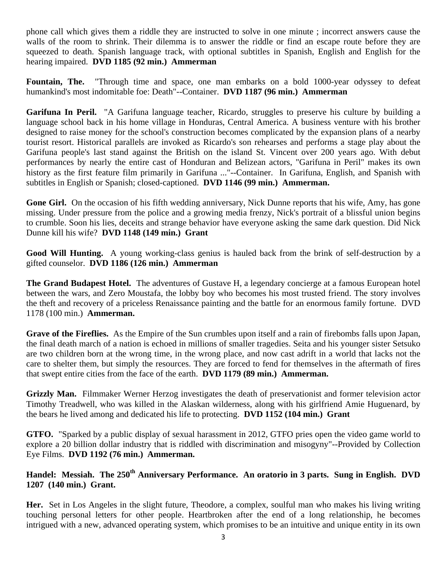phone call which gives them a riddle they are instructed to solve in one minute ; incorrect answers cause the walls of the room to shrink. Their dilemma is to answer the riddle or find an escape route before they are squeezed to death. Spanish language track, with optional subtitles in Spanish, English and English for the hearing impaired. **DVD 1185 (92 min.) Ammerman** 

**Fountain, The.** "Through time and space, one man embarks on a bold 1000-year odyssey to defeat humankind's most indomitable foe: Death"--Container. **DVD 1187 (96 min.) Ammerman** 

**Garifuna In Peril.** "A Garifuna language teacher, Ricardo, struggles to preserve his culture by building a language school back in his home village in Honduras, Central America. A business venture with his brother designed to raise money for the school's construction becomes complicated by the expansion plans of a nearby tourist resort. Historical parallels are invoked as Ricardo's son rehearses and performs a stage play about the Garifuna people's last stand against the British on the island St. Vincent over 200 years ago. With debut performances by nearly the entire cast of Honduran and Belizean actors, "Garifuna in Peril" makes its own history as the first feature film primarily in Garifuna ..."--Container. In Garifuna, English, and Spanish with subtitles in English or Spanish; closed-captioned. **DVD 1146 (99 min.) Ammerman.** 

**Gone Girl.** On the occasion of his fifth wedding anniversary, Nick Dunne reports that his wife, Amy, has gone missing. Under pressure from the police and a growing media frenzy, Nick's portrait of a blissful union begins to crumble. Soon his lies, deceits and strange behavior have everyone asking the same dark question. Did Nick Dunne kill his wife? **DVD 1148 (149 min.) Grant** 

**Good Will Hunting.** A young working-class genius is hauled back from the brink of self-destruction by a gifted counselor. **DVD 1186 (126 min.) Ammerman** 

**The Grand Budapest Hotel.** The adventures of Gustave H, a legendary concierge at a famous European hotel between the wars, and Zero Moustafa, the lobby boy who becomes his most trusted friend. The story involves the theft and recovery of a priceless Renaissance painting and the battle for an enormous family fortune. DVD 1178 (100 min.) **Ammerman.** 

**Grave of the Fireflies.** As the Empire of the Sun crumbles upon itself and a rain of firebombs falls upon Japan, the final death march of a nation is echoed in millions of smaller tragedies. Seita and his younger sister Setsuko are two children born at the wrong time, in the wrong place, and now cast adrift in a world that lacks not the care to shelter them, but simply the resources. They are forced to fend for themselves in the aftermath of fires that swept entire cities from the face of the earth. **DVD 1179 (89 min.) Ammerman.** 

**Grizzly Man.** Filmmaker Werner Herzog investigates the death of preservationist and former television actor Timothy Treadwell, who was killed in the Alaskan wilderness, along with his girlfriend Amie Huguenard, by the bears he lived among and dedicated his life to protecting. **DVD 1152 (104 min.) Grant** 

**GTFO.** "Sparked by a public display of sexual harassment in 2012, GTFO pries open the video game world to explore a 20 billion dollar industry that is riddled with discrimination and misogyny"--Provided by Collection Eye Films. **DVD 1192 (76 min.) Ammerman.** 

## **Handel: Messiah. The 250th Anniversary Performance. An oratorio in 3 parts. Sung in English. DVD 1207 (140 min.) Grant.**

**Her.** Set in Los Angeles in the slight future, Theodore, a complex, soulful man who makes his living writing touching personal letters for other people. Heartbroken after the end of a long relationship, he becomes intrigued with a new, advanced operating system, which promises to be an intuitive and unique entity in its own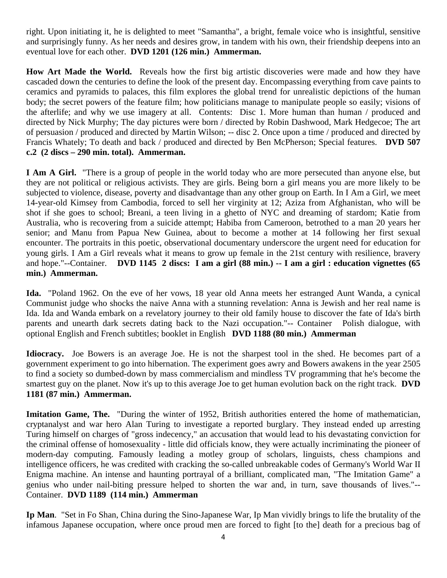right. Upon initiating it, he is delighted to meet "Samantha", a bright, female voice who is insightful, sensitive and surprisingly funny. As her needs and desires grow, in tandem with his own, their friendship deepens into an eventual love for each other. **DVD 1201 (126 min.) Ammerman.** 

**How Art Made the World.** Reveals how the first big artistic discoveries were made and how they have cascaded down the centuries to define the look of the present day. Encompassing everything from cave paints to ceramics and pyramids to palaces, this film explores the global trend for unrealistic depictions of the human body; the secret powers of the feature film; how politicians manage to manipulate people so easily; visions of the afterlife; and why we use imagery at all.Contents: Disc 1. More human than human / produced and directed by Nick Murphy; The day pictures were born / directed by Robin Dashwood, Mark Hedgecoe; The art of persuasion / produced and directed by Martin Wilson; -- disc 2. Once upon a time / produced and directed by Francis Whately; To death and back / produced and directed by Ben McPherson; Special features. **DVD 507 c.2 (2 discs – 290 min. total). Ammerman.** 

**I Am A Girl.** "There is a group of people in the world today who are more persecuted than anyone else, but they are not political or religious activists. They are girls. Being born a girl means you are more likely to be subjected to violence, disease, poverty and disadvantage than any other group on Earth. In I Am a Girl, we meet 14-year-old Kimsey from Cambodia, forced to sell her virginity at 12; Aziza from Afghanistan, who will be shot if she goes to school; Breani, a teen living in a ghetto of NYC and dreaming of stardom; Katie from Australia, who is recovering from a suicide attempt; Habiba from Cameroon, betrothed to a man 20 years her senior; and Manu from Papua New Guinea, about to become a mother at 14 following her first sexual encounter. The portraits in this poetic, observational documentary underscore the urgent need for education for young girls. I Am a Girl reveals what it means to grow up female in the 21st century with resilience, bravery and hope."--Container. **DVD 1145 2 discs: I am a girl (88 min.) -- I am a girl : education vignettes (65 min.) Ammerman.** 

**Ida.** "Poland 1962. On the eve of her vows, 18 year old Anna meets her estranged Aunt Wanda, a cynical Communist judge who shocks the naive Anna with a stunning revelation: Anna is Jewish and her real name is Ida. Ida and Wanda embark on a revelatory journey to their old family house to discover the fate of Ida's birth parents and unearth dark secrets dating back to the Nazi occupation."-- Container Polish dialogue, with optional English and French subtitles; booklet in English **DVD 1188 (80 min.) Ammerman** 

**Idiocracy.** Joe Bowers is an average Joe. He is not the sharpest tool in the shed. He becomes part of a government experiment to go into hibernation. The experiment goes awry and Bowers awakens in the year 2505 to find a society so dumbed-down by mass commercialism and mindless TV programming that he's become the smartest guy on the planet. Now it's up to this average Joe to get human evolution back on the right track. **DVD 1181 (87 min.) Ammerman.** 

**Imitation Game, The.** "During the winter of 1952, British authorities entered the home of mathematician, cryptanalyst and war hero Alan Turing to investigate a reported burglary. They instead ended up arresting Turing himself on charges of "gross indecency," an accusation that would lead to his devastating conviction for the criminal offense of homosexuality - little did officials know, they were actually incriminating the pioneer of modern-day computing. Famously leading a motley group of scholars, linguists, chess champions and intelligence officers, he was credited with cracking the so-called unbreakable codes of Germany's World War II Enigma machine. An intense and haunting portrayal of a brilliant, complicated man, "The Imitation Game" a genius who under nail-biting pressure helped to shorten the war and, in turn, save thousands of lives."-- Container. **DVD 1189 (114 min.) Ammerman** 

**Ip Man**. "Set in Fo Shan, China during the Sino-Japanese War, Ip Man vividly brings to life the brutality of the infamous Japanese occupation, where once proud men are forced to fight [to the] death for a precious bag of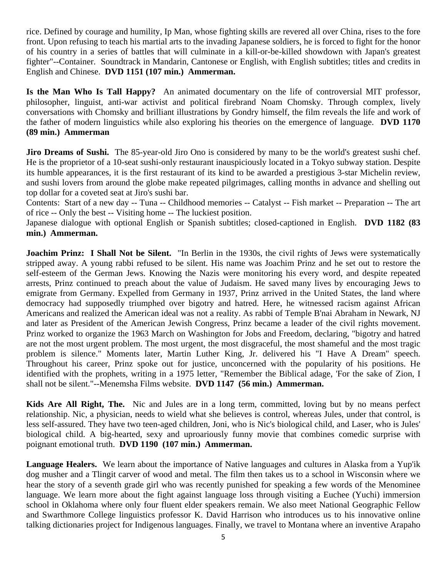rice. Defined by courage and humility, Ip Man, whose fighting skills are revered all over China, rises to the fore front. Upon refusing to teach his martial arts to the invading Japanese soldiers, he is forced to fight for the honor of his country in a series of battles that will culminate in a kill-or-be-killed showdown with Japan's greatest fighter"--Container. Soundtrack in Mandarin, Cantonese or English, with English subtitles; titles and credits in English and Chinese. **DVD 1151 (107 min.) Ammerman.** 

**Is the Man Who Is Tall Happy?** An animated documentary on the life of controversial MIT professor, philosopher, linguist, anti-war activist and political firebrand Noam Chomsky. Through complex, lively conversations with Chomsky and brilliant illustrations by Gondry himself, the film reveals the life and work of the father of modern linguistics while also exploring his theories on the emergence of language. **DVD 1170 (89 min.) Ammerman** 

**Jiro Dreams of Sushi.** The 85-year-old Jiro Ono is considered by many to be the world's greatest sushi chef. He is the proprietor of a 10-seat sushi-only restaurant inauspiciously located in a Tokyo subway station. Despite its humble appearances, it is the first restaurant of its kind to be awarded a prestigious 3-star Michelin review, and sushi lovers from around the globe make repeated pilgrimages, calling months in advance and shelling out top dollar for a coveted seat at Jiro's sushi bar.

Contents: Start of a new day -- Tuna -- Childhood memories -- Catalyst -- Fish market -- Preparation -- The art of rice -- Only the best -- Visiting home -- The luckiest position.

Japanese dialogue with optional English or Spanish subtitles; closed-captioned in English. **DVD 1182 (83 min.) Ammerman.** 

**Joachim Prinz:** I Shall Not be Silent. "In Berlin in the 1930s, the civil rights of Jews were systematically stripped away. A young rabbi refused to be silent. His name was Joachim Prinz and he set out to restore the self-esteem of the German Jews. Knowing the Nazis were monitoring his every word, and despite repeated arrests, Prinz continued to preach about the value of Judaism. He saved many lives by encouraging Jews to emigrate from Germany. Expelled from Germany in 1937, Prinz arrived in the United States, the land where democracy had supposedly triumphed over bigotry and hatred. Here, he witnessed racism against African Americans and realized the American ideal was not a reality. As rabbi of Temple B'nai Abraham in Newark, NJ and later as President of the American Jewish Congress, Prinz became a leader of the civil rights movement. Prinz worked to organize the 1963 March on Washington for Jobs and Freedom, declaring, "bigotry and hatred are not the most urgent problem. The most urgent, the most disgraceful, the most shameful and the most tragic problem is silence." Moments later, Martin Luther King, Jr. delivered his "I Have A Dream" speech. Throughout his career, Prinz spoke out for justice, unconcerned with the popularity of his positions. He identified with the prophets, writing in a 1975 letter, "Remember the Biblical adage, 'For the sake of Zion, I shall not be silent."--Menemsha Films website. **DVD 1147 (56 min.) Ammerman.** 

**Kids Are All Right, The.** Nic and Jules are in a long term, committed, loving but by no means perfect relationship. Nic, a physician, needs to wield what she believes is control, whereas Jules, under that control, is less self-assured. They have two teen-aged children, Joni, who is Nic's biological child, and Laser, who is Jules' biological child. A big-hearted, sexy and uproariously funny movie that combines comedic surprise with poignant emotional truth. **DVD 1190 (107 min.) Ammerman.** 

**Language Healers.** We learn about the importance of Native languages and cultures in Alaska from a Yup'ik dog musher and a Tlingit carver of wood and metal. The film then takes us to a school in Wisconsin where we hear the story of a seventh grade girl who was recently punished for speaking a few words of the Menominee language. We learn more about the fight against language loss through visiting a Euchee (Yuchi) immersion school in Oklahoma where only four fluent elder speakers remain. We also meet National Geographic Fellow and Swarthmore College linguistics professor K. David Harrison who introduces us to his innovative online talking dictionaries project for Indigenous languages. Finally, we travel to Montana where an inventive Arapaho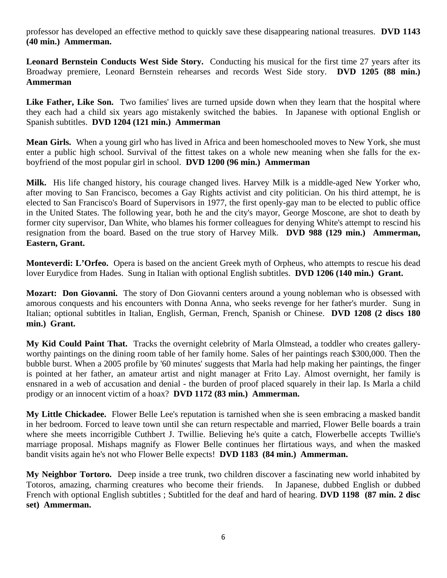professor has developed an effective method to quickly save these disappearing national treasures. **DVD 1143 (40 min.) Ammerman.** 

**Leonard Bernstein Conducts West Side Story.** Conducting his musical for the first time 27 years after its Broadway premiere, Leonard Bernstein rehearses and records West Side story. **DVD 1205 (88 min.) Ammerman** 

Like Father, Like Son. Two families' lives are turned upside down when they learn that the hospital where they each had a child six years ago mistakenly switched the babies.In Japanese with optional English or Spanish subtitles. **DVD 1204 (121 min.) Ammerman** 

**Mean Girls.** When a young girl who has lived in Africa and been homeschooled moves to New York, she must enter a public high school. Survival of the fittest takes on a whole new meaning when she falls for the exboyfriend of the most popular girl in school. **DVD 1200 (96 min.) Ammerman** 

**Milk.** His life changed history, his courage changed lives. Harvey Milk is a middle-aged New Yorker who, after moving to San Francisco, becomes a Gay Rights activist and city politician. On his third attempt, he is elected to San Francisco's Board of Supervisors in 1977, the first openly-gay man to be elected to public office in the United States. The following year, both he and the city's mayor, George Moscone, are shot to death by former city supervisor, Dan White, who blames his former colleagues for denying White's attempt to rescind his resignation from the board. Based on the true story of Harvey Milk. **DVD 988 (129 min.) Ammerman, Eastern, Grant.** 

**Monteverdi: L'Orfeo.** Opera is based on the ancient Greek myth of Orpheus, who attempts to rescue his dead lover Eurydice from Hades. Sung in Italian with optional English subtitles. **DVD 1206 (140 min.) Grant.** 

**Mozart: Don Giovanni.** The story of Don Giovanni centers around a young nobleman who is obsessed with amorous conquests and his encounters with Donna Anna, who seeks revenge for her father's murder. Sung in Italian; optional subtitles in Italian, English, German, French, Spanish or Chinese. **DVD 1208 (2 discs 180 min.) Grant.** 

**My Kid Could Paint That.** Tracks the overnight celebrity of Marla Olmstead, a toddler who creates galleryworthy paintings on the dining room table of her family home. Sales of her paintings reach \$300,000. Then the bubble burst. When a 2005 profile by '60 minutes' suggests that Marla had help making her paintings, the finger is pointed at her father, an amateur artist and night manager at Frito Lay. Almost overnight, her family is ensnared in a web of accusation and denial - the burden of proof placed squarely in their lap. Is Marla a child prodigy or an innocent victim of a hoax? **DVD 1172 (83 min.) Ammerman.** 

**My Little Chickadee.** Flower Belle Lee's reputation is tarnished when she is seen embracing a masked bandit in her bedroom. Forced to leave town until she can return respectable and married, Flower Belle boards a train where she meets incorrigible Cuthbert J. Twillie. Believing he's quite a catch, Flowerbelle accepts Twillie's marriage proposal. Mishaps magnify as Flower Belle continues her flirtatious ways, and when the masked bandit visits again he's not who Flower Belle expects! **DVD 1183 (84 min.) Ammerman.** 

**My Neighbor Tortoro.** Deep inside a tree trunk, two children discover a fascinating new world inhabited by Totoros, amazing, charming creatures who become their friends. In Japanese, dubbed English or dubbed French with optional English subtitles ; Subtitled for the deaf and hard of hearing. **DVD 1198 (87 min. 2 disc set) Ammerman.**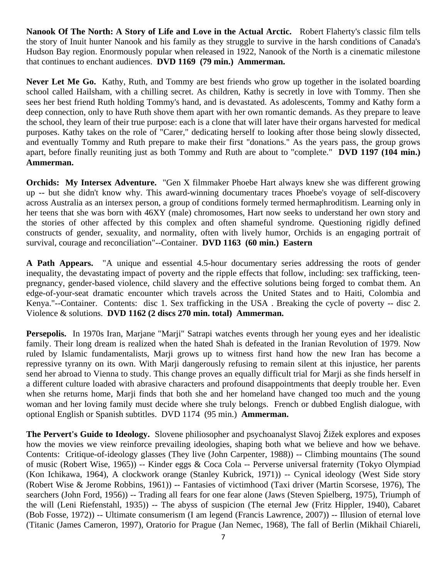**Nanook Of The North: A Story of Life and Love in the Actual Arctic.** Robert Flaherty's classic film tells the story of Inuit hunter Nanook and his family as they struggle to survive in the harsh conditions of Canada's Hudson Bay region. Enormously popular when released in 1922, Nanook of the North is a cinematic milestone that continues to enchant audiences. **DVD 1169 (79 min.) Ammerman.** 

**Never Let Me Go.** Kathy, Ruth, and Tommy are best friends who grow up together in the isolated boarding school called Hailsham, with a chilling secret. As children, Kathy is secretly in love with Tommy. Then she sees her best friend Ruth holding Tommy's hand, and is devastated. As adolescents, Tommy and Kathy form a deep connection, only to have Ruth shove them apart with her own romantic demands. As they prepare to leave the school, they learn of their true purpose: each is a clone that will later have their organs harvested for medical purposes. Kathy takes on the role of "Carer," dedicating herself to looking after those being slowly dissected, and eventually Tommy and Ruth prepare to make their first "donations." As the years pass, the group grows apart, before finally reuniting just as both Tommy and Ruth are about to "complete." **DVD 1197 (104 min.) Ammerman.** 

**Orchids:** My Intersex Adventure. "Gen X filmmaker Phoebe Hart always knew she was different growing up -- but she didn't know why. This award-winning documentary traces Phoebe's voyage of self-discovery across Australia as an intersex person, a group of conditions formely termed hermaphroditism. Learning only in her teens that she was born with 46XY (male) chromosomes, Hart now seeks to understand her own story and the stories of other affected by this complex and often shameful syndrome. Questioning rigidly defined constructs of gender, sexuality, and normality, often with lively humor, Orchids is an engaging portrait of survival, courage and reconciliation"--Container. **DVD 1163 (60 min.) Eastern** 

**A Path Appears.** "A unique and essential 4.5-hour documentary series addressing the roots of gender inequality, the devastating impact of poverty and the ripple effects that follow, including: sex trafficking, teenpregnancy, gender-based violence, child slavery and the effective solutions being forged to combat them. An edge-of-your-seat dramatic encounter which travels across the United States and to Haiti, Colombia and Kenya."--Container. Contents: disc 1. Sex trafficking in the USA . Breaking the cycle of poverty -- disc 2. Violence & solutions. **DVD 1162 (2 discs 270 min. total) Ammerman.** 

**Persepolis.** In 1970s Iran, Marjane "Marji" Satrapi watches events through her young eyes and her idealistic family. Their long dream is realized when the hated Shah is defeated in the Iranian Revolution of 1979. Now ruled by Islamic fundamentalists, Marji grows up to witness first hand how the new Iran has become a repressive tyranny on its own. With Marji dangerously refusing to remain silent at this injustice, her parents send her abroad to Vienna to study. This change proves an equally difficult trial for Marji as she finds herself in a different culture loaded with abrasive characters and profound disappointments that deeply trouble her. Even when she returns home, Marji finds that both she and her homeland have changed too much and the young woman and her loving family must decide where she truly belongs. French or dubbed English dialogue, with optional English or Spanish subtitles. DVD 1174 (95 min.) **Ammerman.** 

**The Pervert's Guide to Ideology.** Slovene philiosopher and psychoanalyst Slavoj Žižek explores and exposes how the movies we view reinforce prevailing ideologies, shaping both what we believe and how we behave. Contents: Critique-of-ideology glasses (They live (John Carpenter, 1988)) -- Climbing mountains (The sound of music (Robert Wise, 1965)) -- Kinder eggs & Coca Cola -- Perverse universal fraternity (Tokyo Olympiad (Kon Ichikawa, 1964), A clockwork orange (Stanley Kubrick, 1971)) -- Cynical ideology (West Side story (Robert Wise & Jerome Robbins, 1961)) -- Fantasies of victimhood (Taxi driver (Martin Scorsese, 1976), The searchers (John Ford, 1956)) -- Trading all fears for one fear alone (Jaws (Steven Spielberg, 1975), Triumph of the will (Leni Riefenstahl, 1935)) -- The abyss of suspicion (The eternal Jew (Fritz Hippler, 1940), Cabaret (Bob Fosse, 1972)) -- Ultimate consumerism (I am legend (Francis Lawrence, 2007)) -- Illusion of eternal love (Titanic (James Cameron, 1997), Oratorio for Prague (Jan Nemec, 1968), The fall of Berlin (Mikhail Chiareli,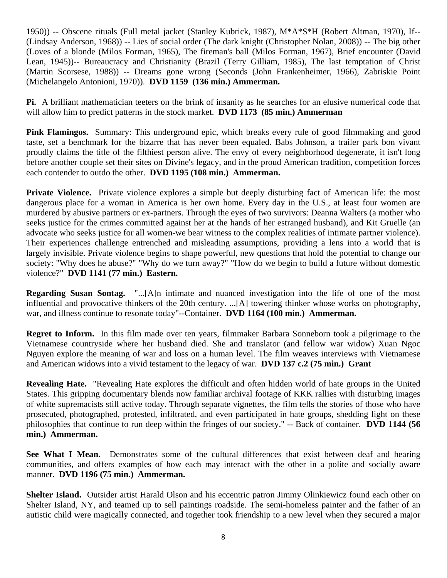1950)) -- Obscene rituals (Full metal jacket (Stanley Kubrick, 1987), M\*A\*S\*H (Robert Altman, 1970), If-- (Lindsay Anderson, 1968)) -- Lies of social order (The dark knight (Christopher Nolan, 2008)) -- The big other (Loves of a blonde (Milos Forman, 1965), The fireman's ball (Milos Forman, 1967), Brief encounter (David Lean, 1945))-- Bureaucracy and Christianity (Brazil (Terry Gilliam, 1985), The last temptation of Christ (Martin Scorsese, 1988)) -- Dreams gone wrong (Seconds (John Frankenheimer, 1966), Zabriskie Point (Michelangelo Antonioni, 1970)). **DVD 1159 (136 min.) Ammerman.** 

**Pi.** A brilliant mathematician teeters on the brink of insanity as he searches for an elusive numerical code that will allow him to predict patterns in the stock market. **DVD 1173 (85 min.) Ammerman** 

**Pink Flamingos.** Summary: This underground epic, which breaks every rule of good filmmaking and good taste, set a benchmark for the bizarre that has never been equaled. Babs Johnson, a trailer park bon vivant proudly claims the title of the filthiest person alive. The envy of every neighborhood degenerate, it isn't long before another couple set their sites on Divine's legacy, and in the proud American tradition, competition forces each contender to outdo the other. **DVD 1195 (108 min.) Ammerman.** 

**Private Violence.** Private violence explores a simple but deeply disturbing fact of American life: the most dangerous place for a woman in America is her own home. Every day in the U.S., at least four women are murdered by abusive partners or ex-partners. Through the eyes of two survivors: Deanna Walters (a mother who seeks justice for the crimes committed against her at the hands of her estranged husband), and Kit Gruelle (an advocate who seeks justice for all women-we bear witness to the complex realities of intimate partner violence). Their experiences challenge entrenched and misleading assumptions, providing a lens into a world that is largely invisible. Private violence begins to shape powerful, new questions that hold the potential to change our society: "Why does he abuse?" "Why do we turn away?" "How do we begin to build a future without domestic violence?" **DVD 1141 (77 min.) Eastern.** 

**Regarding Susan Sontag.** "...[A]n intimate and nuanced investigation into the life of one of the most influential and provocative thinkers of the 20th century. ...[A] towering thinker whose works on photography, war, and illness continue to resonate today"--Container. **DVD 1164 (100 min.) Ammerman.** 

**Regret to Inform.** In this film made over ten years, filmmaker Barbara Sonneborn took a pilgrimage to the Vietnamese countryside where her husband died. She and translator (and fellow war widow) Xuan Ngoc Nguyen explore the meaning of war and loss on a human level. The film weaves interviews with Vietnamese and American widows into a vivid testament to the legacy of war. **DVD 137 c.2 (75 min.) Grant** 

**Revealing Hate.** "Revealing Hate explores the difficult and often hidden world of hate groups in the United States. This gripping documentary blends now familiar archival footage of KKK rallies with disturbing images of white supremacists still active today. Through separate vignettes, the film tells the stories of those who have prosecuted, photographed, protested, infiltrated, and even participated in hate groups, shedding light on these philosophies that continue to run deep within the fringes of our society." -- Back of container. **DVD 1144 (56 min.) Ammerman.** 

**See What I Mean.** Demonstrates some of the cultural differences that exist between deaf and hearing communities, and offers examples of how each may interact with the other in a polite and socially aware manner. **DVD 1196 (75 min.) Ammerman.** 

**Shelter Island.** Outsider artist Harald Olson and his eccentric patron Jimmy Olinkiewicz found each other on Shelter Island, NY, and teamed up to sell paintings roadside. The semi-homeless painter and the father of an autistic child were magically connected, and together took friendship to a new level when they secured a major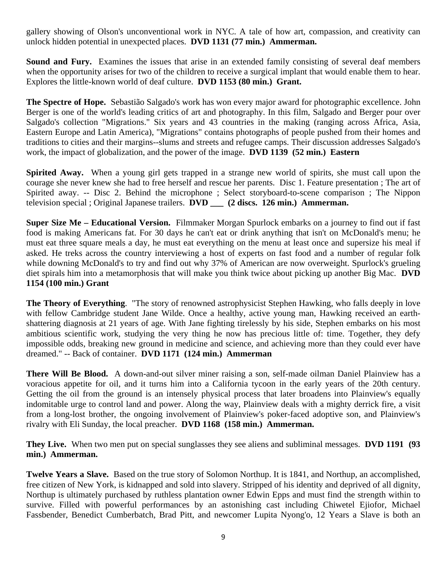gallery showing of Olson's unconventional work in NYC. A tale of how art, compassion, and creativity can unlock hidden potential in unexpected places. **DVD 1131 (77 min.) Ammerman.** 

**Sound and Fury.** Examines the issues that arise in an extended family consisting of several deaf members when the opportunity arises for two of the children to receive a surgical implant that would enable them to hear. Explores the little-known world of deaf culture. **DVD 1153 (80 min.) Grant.** 

**The Spectre of Hope.** Sebastião Salgado's work has won every major award for photographic excellence. John Berger is one of the world's leading critics of art and photography. In this film, Salgado and Berger pour over Salgado's collection "Migrations." Six years and 43 countries in the making (ranging across Africa, Asia, Eastern Europe and Latin America), "Migrations" contains photographs of people pushed from their homes and traditions to cities and their margins--slums and streets and refugee camps. Their discussion addresses Salgado's work, the impact of globalization, and the power of the image. **DVD 1139 (52 min.) Eastern** 

**Spirited Away.** When a young girl gets trapped in a strange new world of spirits, she must call upon the courage she never knew she had to free herself and rescue her parents. Disc 1. Feature presentation ; The art of Spirited away. -- Disc 2. Behind the microphone ; Select storyboard-to-scene comparison ; The Nippon television special ; Original Japanese trailers. **DVD \_\_\_ (2 discs. 126 min.) Ammerman.** 

**Super Size Me – Educational Version.** Filmmaker Morgan Spurlock embarks on a journey to find out if fast food is making Americans fat. For 30 days he can't eat or drink anything that isn't on McDonald's menu; he must eat three square meals a day, he must eat everything on the menu at least once and supersize his meal if asked. He treks across the country interviewing a host of experts on fast food and a number of regular folk while downing McDonald's to try and find out why 37% of American are now overweight. Spurlock's grueling diet spirals him into a metamorphosis that will make you think twice about picking up another Big Mac. **DVD 1154 (100 min.) Grant** 

**The Theory of Everything**. "The story of renowned astrophysicist Stephen Hawking, who falls deeply in love with fellow Cambridge student Jane Wilde. Once a healthy, active young man, Hawking received an earthshattering diagnosis at 21 years of age. With Jane fighting tirelessly by his side, Stephen embarks on his most ambitious scientific work, studying the very thing he now has precious little of: time. Together, they defy impossible odds, breaking new ground in medicine and science, and achieving more than they could ever have dreamed." -- Back of container. **DVD 1171 (124 min.) Ammerman** 

**There Will Be Blood.** A down-and-out silver miner raising a son, self-made oilman Daniel Plainview has a voracious appetite for oil, and it turns him into a California tycoon in the early years of the 20th century. Getting the oil from the ground is an intensely physical process that later broadens into Plainview's equally indomitable urge to control land and power. Along the way, Plainview deals with a mighty derrick fire, a visit from a long-lost brother, the ongoing involvement of Plainview's poker-faced adoptive son, and Plainview's rivalry with Eli Sunday, the local preacher. **DVD 1168 (158 min.) Ammerman.** 

**They Live.** When two men put on special sunglasses they see aliens and subliminal messages. **DVD 1191 (93 min.) Ammerman.** 

**Twelve Years a Slave.** Based on the true story of Solomon Northup. It is 1841, and Northup, an accomplished, free citizen of New York, is kidnapped and sold into slavery. Stripped of his identity and deprived of all dignity, Northup is ultimately purchased by ruthless plantation owner Edwin Epps and must find the strength within to survive. Filled with powerful performances by an astonishing cast including Chiwetel Ejiofor, Michael Fassbender, Benedict Cumberbatch, Brad Pitt, and newcomer Lupita Nyong'o, 12 Years a Slave is both an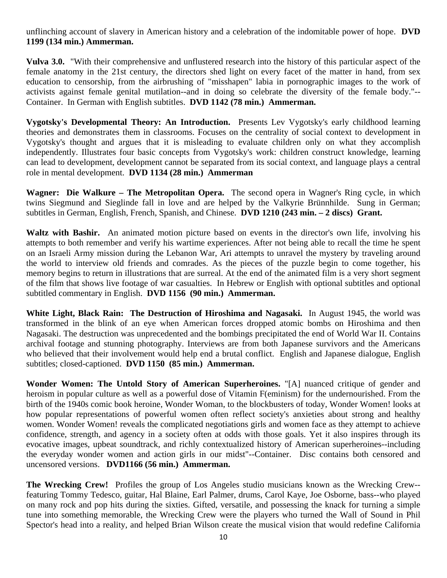unflinching account of slavery in American history and a celebration of the indomitable power of hope. **DVD 1199 (134 min.) Ammerman.** 

**Vulva 3.0.** "With their comprehensive and unflustered research into the history of this particular aspect of the female anatomy in the 21st century, the directors shed light on every facet of the matter in hand, from sex education to censorship, from the airbrushing of "misshapen" labia in pornographic images to the work of activists against female genital mutilation--and in doing so celebrate the diversity of the female body."-- Container.In German with English subtitles. **DVD 1142 (78 min.) Ammerman.** 

**Vygotsky's Developmental Theory: An Introduction.** Presents Lev Vygotsky's early childhood learning theories and demonstrates them in classrooms. Focuses on the centrality of social context to development in Vygotsky's thought and argues that it is misleading to evaluate children only on what they accomplish independently. Illustrates four basic concepts from Vygotsky's work: children construct knowledge, learning can lead to development, development cannot be separated from its social context, and language plays a central role in mental development. **DVD 1134 (28 min.) Ammerman** 

**Wagner: Die Walkure – The Metropolitan Opera.** The second opera in Wagner's Ring cycle, in which twins Siegmund and Sieglinde fall in love and are helped by the Valkyrie Brünnhilde. Sung in German; subtitles in German, English, French, Spanish, and Chinese. **DVD 1210 (243 min. – 2 discs) Grant.** 

**Waltz with Bashir.** An animated motion picture based on events in the director's own life, involving his attempts to both remember and verify his wartime experiences. After not being able to recall the time he spent on an Israeli Army mission during the Lebanon War, Ari attempts to unravel the mystery by traveling around the world to interview old friends and comrades. As the pieces of the puzzle begin to come together, his memory begins to return in illustrations that are surreal. At the end of the animated film is a very short segment of the film that shows live footage of war casualties. In Hebrew or English with optional subtitles and optional subtitled commentary in English. **DVD 1156 (90 min.) Ammerman.** 

**White Light, Black Rain: The Destruction of Hiroshima and Nagasaki.** In August 1945, the world was transformed in the blink of an eye when American forces dropped atomic bombs on Hiroshima and then Nagasaki. The destruction was unprecedented and the bombings precipitated the end of World War II. Contains archival footage and stunning photography. Interviews are from both Japanese survivors and the Americans who believed that their involvement would help end a brutal conflict. English and Japanese dialogue, English subtitles; closed-captioned. **DVD 1150 (85 min.) Ammerman.** 

**Wonder Women: The Untold Story of American Superheroines.** "[A] nuanced critique of gender and heroism in popular culture as well as a powerful dose of Vitamin F(eminism) for the undernourished. From the birth of the 1940s comic book heroine, Wonder Woman, to the blockbusters of today, Wonder Women! looks at how popular representations of powerful women often reflect society's anxieties about strong and healthy women. Wonder Women! reveals the complicated negotiations girls and women face as they attempt to achieve confidence, strength, and agency in a society often at odds with those goals. Yet it also inspires through its evocative images, upbeat soundtrack, and richly contextualized history of American superheroines--including the everyday wonder women and action girls in our midst"--Container. Disc contains both censored and uncensored versions. **DVD1166 (56 min.) Ammerman.** 

**The Wrecking Crew!** Profiles the group of Los Angeles studio musicians known as the Wrecking Crew- featuring Tommy Tedesco, guitar, Hal Blaine, Earl Palmer, drums, Carol Kaye, Joe Osborne, bass--who played on many rock and pop hits during the sixties. Gifted, versatile, and possessing the knack for turning a simple tune into something memorable, the Wrecking Crew were the players who turned the Wall of Sound in Phil Spector's head into a reality, and helped Brian Wilson create the musical vision that would redefine California